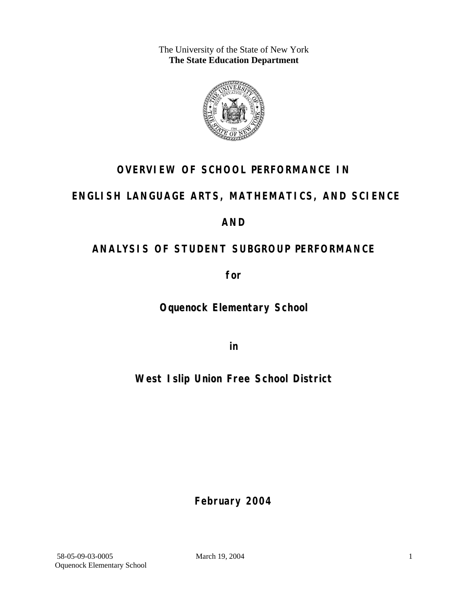The University of the State of New York **The State Education Department** 



## **OVERVIEW OF SCHOOL PERFORMANCE IN**

### **ENGLISH LANGUAGE ARTS, MATHEMATICS, AND SCIENCE**

### **AND**

## **ANALYSIS OF STUDENT SUBGROUP PERFORMANCE**

**for** 

**Oquenock Elementary School**

**in** 

**West Islip Union Free School District**

**February 2004**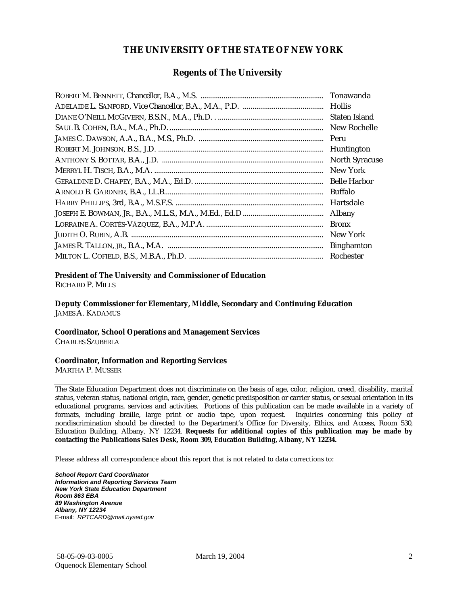#### **THE UNIVERSITY OF THE STATE OF NEW YORK**

#### **Regents of The University**

| Tonawanda             |
|-----------------------|
| <b>Hollis</b>         |
| Staten Island         |
| New Rochelle          |
| Peru                  |
| Huntington            |
| <b>North Syracuse</b> |
| New York              |
| <b>Belle Harbor</b>   |
| Buffalo               |
| Hartsdale             |
| Albany                |
| <b>Bronx</b>          |
| New York              |
| <b>Binghamton</b>     |
| Rochester             |

#### **President of The University and Commissioner of Education**

RICHARD P. MILLS

**Deputy Commissioner for Elementary, Middle, Secondary and Continuing Education**  JAMES A. KADAMUS

#### **Coordinator, School Operations and Management Services**

CHARLES SZUBERLA

#### **Coordinator, Information and Reporting Services**

MARTHA P. MUSSER

The State Education Department does not discriminate on the basis of age, color, religion, creed, disability, marital status, veteran status, national origin, race, gender, genetic predisposition or carrier status, or sexual orientation in its educational programs, services and activities. Portions of this publication can be made available in a variety of formats, including braille, large print or audio tape, upon request. Inquiries concerning this policy of nondiscrimination should be directed to the Department's Office for Diversity, Ethics, and Access, Room 530, Education Building, Albany, NY 12234. **Requests for additional copies of this publication may be made by contacting the Publications Sales Desk, Room 309, Education Building, Albany, NY 12234.** 

Please address all correspondence about this report that is not related to data corrections to:

*School Report Card Coordinator Information and Reporting Services Team New York State Education Department Room 863 EBA 89 Washington Avenue Albany, NY 12234*  E-mail: *RPTCARD@mail.nysed.gov*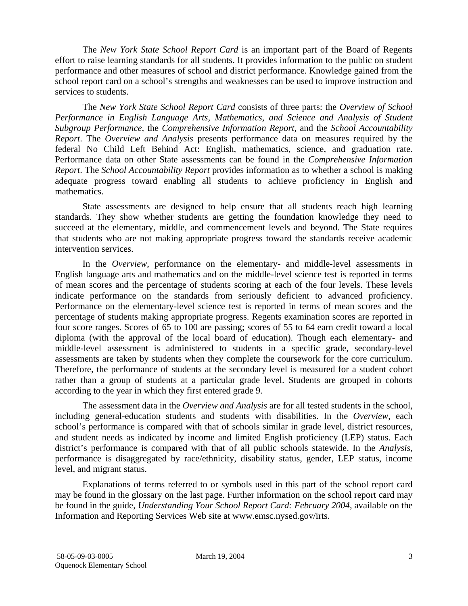The *New York State School Report Card* is an important part of the Board of Regents effort to raise learning standards for all students. It provides information to the public on student performance and other measures of school and district performance. Knowledge gained from the school report card on a school's strengths and weaknesses can be used to improve instruction and services to students.

The *New York State School Report Card* consists of three parts: the *Overview of School Performance in English Language Arts, Mathematics, and Science and Analysis of Student Subgroup Performance,* the *Comprehensive Information Report,* and the *School Accountability Report*. The *Overview and Analysis* presents performance data on measures required by the federal No Child Left Behind Act: English, mathematics, science, and graduation rate. Performance data on other State assessments can be found in the *Comprehensive Information Report*. The *School Accountability Report* provides information as to whether a school is making adequate progress toward enabling all students to achieve proficiency in English and mathematics.

State assessments are designed to help ensure that all students reach high learning standards. They show whether students are getting the foundation knowledge they need to succeed at the elementary, middle, and commencement levels and beyond. The State requires that students who are not making appropriate progress toward the standards receive academic intervention services.

In the *Overview*, performance on the elementary- and middle-level assessments in English language arts and mathematics and on the middle-level science test is reported in terms of mean scores and the percentage of students scoring at each of the four levels. These levels indicate performance on the standards from seriously deficient to advanced proficiency. Performance on the elementary-level science test is reported in terms of mean scores and the percentage of students making appropriate progress. Regents examination scores are reported in four score ranges. Scores of 65 to 100 are passing; scores of 55 to 64 earn credit toward a local diploma (with the approval of the local board of education). Though each elementary- and middle-level assessment is administered to students in a specific grade, secondary-level assessments are taken by students when they complete the coursework for the core curriculum. Therefore, the performance of students at the secondary level is measured for a student cohort rather than a group of students at a particular grade level. Students are grouped in cohorts according to the year in which they first entered grade 9.

The assessment data in the *Overview and Analysis* are for all tested students in the school, including general-education students and students with disabilities. In the *Overview*, each school's performance is compared with that of schools similar in grade level, district resources, and student needs as indicated by income and limited English proficiency (LEP) status. Each district's performance is compared with that of all public schools statewide. In the *Analysis*, performance is disaggregated by race/ethnicity, disability status, gender, LEP status, income level, and migrant status.

Explanations of terms referred to or symbols used in this part of the school report card may be found in the glossary on the last page. Further information on the school report card may be found in the guide, *Understanding Your School Report Card: February 2004*, available on the Information and Reporting Services Web site at www.emsc.nysed.gov/irts.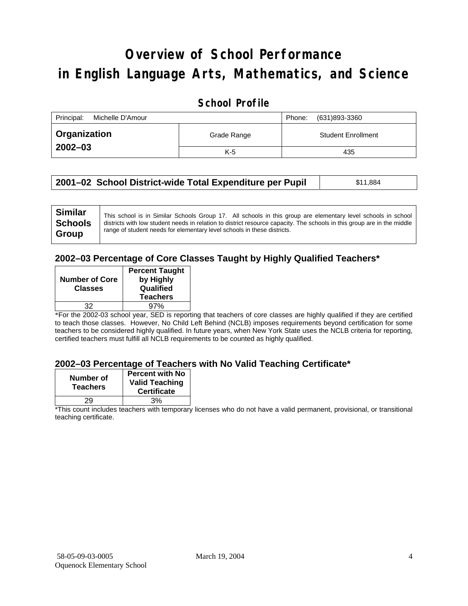# **Overview of School Performance in English Language Arts, Mathematics, and Science**

### **School Profile**

| Principal:<br>Michelle D'Amour |             | (631)893-3360<br>Phone:   |
|--------------------------------|-------------|---------------------------|
| <b>Organization</b>            | Grade Range | <b>Student Enrollment</b> |
| $2002 - 03$                    | $K-5$       | 435                       |

|  | 2001–02 School District-wide Total Expenditure per Pupil | \$11,884 |
|--|----------------------------------------------------------|----------|
|--|----------------------------------------------------------|----------|

### **2002–03 Percentage of Core Classes Taught by Highly Qualified Teachers\***

| <b>Number of Core</b><br><b>Classes</b> | <b>Percent Taught</b><br>by Highly<br>Qualified<br><b>Teachers</b> |
|-----------------------------------------|--------------------------------------------------------------------|
| つつ                                      | 97%                                                                |
|                                         |                                                                    |

\*For the 2002-03 school year, SED is reporting that teachers of core classes are highly qualified if they are certified to teach those classes. However, No Child Left Behind (NCLB) imposes requirements beyond certification for some teachers to be considered highly qualified. In future years, when New York State uses the NCLB criteria for reporting, certified teachers must fulfill all NCLB requirements to be counted as highly qualified.

#### **2002–03 Percentage of Teachers with No Valid Teaching Certificate\***

| Number of<br><b>Teachers</b> | <b>Percent with No</b><br><b>Valid Teaching</b><br><b>Certificate</b> |
|------------------------------|-----------------------------------------------------------------------|
| 29                           | 3%                                                                    |

\*This count includes teachers with temporary licenses who do not have a valid permanent, provisional, or transitional teaching certificate.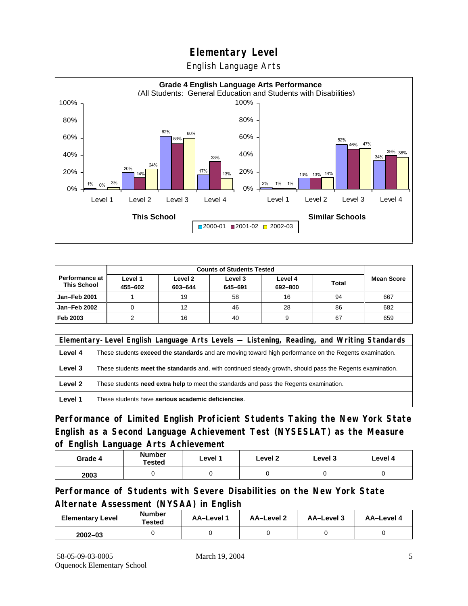English Language Arts



|                                      |                    | <b>Counts of Students Tested</b> |                    |                    |       |                   |  |
|--------------------------------------|--------------------|----------------------------------|--------------------|--------------------|-------|-------------------|--|
| Performance at<br><b>This School</b> | Level 1<br>455-602 | Level 2<br>603-644               | Level 3<br>645-691 | Level 4<br>692-800 | Total | <b>Mean Score</b> |  |
| Jan-Feb 2001                         |                    | 19                               | 58                 | 16                 | 94    | 667               |  |
| Jan-Feb 2002                         |                    | 12                               | 46                 | 28                 | 86    | 682               |  |
| Feb 2003                             |                    | 16                               | 40                 |                    | 67    | 659               |  |

|         | Elementary-Level English Language Arts Levels — Listening, Reading, and Writing Standards                 |
|---------|-----------------------------------------------------------------------------------------------------------|
| Level 4 | These students exceed the standards and are moving toward high performance on the Regents examination.    |
| Level 3 | These students meet the standards and, with continued steady growth, should pass the Regents examination. |
| Level 2 | These students <b>need extra help</b> to meet the standards and pass the Regents examination.             |
| Level 1 | These students have serious academic deficiencies.                                                        |

**Performance of Limited English Proficient Students Taking the New York State English as a Second Language Achievement Test (NYSESLAT) as the Measure of English Language Arts Achievement**

| Grade 4 | <b>Number</b><br><b>Tested</b> | Level 1 | Level 2 | Level 3 | Level 4 |
|---------|--------------------------------|---------|---------|---------|---------|
| 2003    |                                |         |         |         |         |

**Performance of Students with Severe Disabilities on the New York State Alternate Assessment (NYSAA) in English** 

| <b>Elementary Level</b> | <b>Number</b><br>Tested | AA-Level 1 | AA-Level 2 | AA-Level 3 | AA-Level 4 |
|-------------------------|-------------------------|------------|------------|------------|------------|
| $2002 - 03$             |                         |            |            |            |            |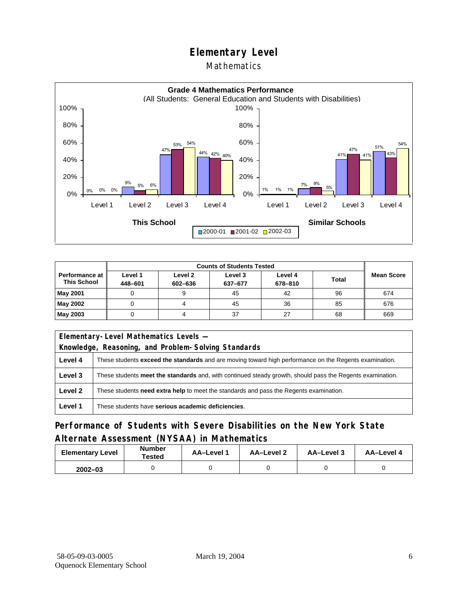#### Mathematics



|                                        |                    | <b>Counts of Students Tested</b> |                    |                    |              |                   |  |
|----------------------------------------|--------------------|----------------------------------|--------------------|--------------------|--------------|-------------------|--|
| Performance at I<br><b>This School</b> | Level 1<br>448-601 | Level 2<br>602-636               | Level 3<br>637-677 | Level 4<br>678-810 | <b>Total</b> | <b>Mean Score</b> |  |
| May 2001                               |                    |                                  | 45                 | 42                 | 96           | 674               |  |
| May 2002                               |                    |                                  | 45                 | 36                 | 85           | 676               |  |
| May 2003                               |                    |                                  | 37                 | 27                 | 68           | 669               |  |

|                                                     | Elementary-Level Mathematics Levels -                                                                         |  |  |  |  |
|-----------------------------------------------------|---------------------------------------------------------------------------------------------------------------|--|--|--|--|
| Knowledge, Reasoning, and Problem-Solving Standards |                                                                                                               |  |  |  |  |
| Level 4                                             | These students <b>exceed the standards</b> and are moving toward high performance on the Regents examination. |  |  |  |  |
| Level 3                                             | These students meet the standards and, with continued steady growth, should pass the Regents examination.     |  |  |  |  |
| Level 2                                             | These students need extra help to meet the standards and pass the Regents examination.                        |  |  |  |  |
| Level 1                                             | These students have serious academic deficiencies.                                                            |  |  |  |  |

### **Performance of Students with Severe Disabilities on the New York State Alternate Assessment (NYSAA) in Mathematics**

| <b>Elementary Level</b> | <b>Number</b><br>Tested | AA-Level 1 | AA-Level 2 | AA-Level 3 | AA-Level 4 |  |
|-------------------------|-------------------------|------------|------------|------------|------------|--|
| $2002 - 03$             |                         |            |            |            |            |  |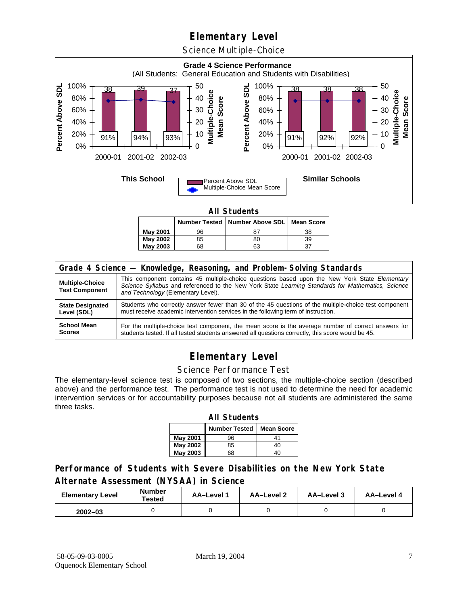Science Multiple-Choice



**All Students** 

|          |    | Number Tested   Number Above SDL   Mean Score |    |  |  |  |  |  |
|----------|----|-----------------------------------------------|----|--|--|--|--|--|
| Mav 2001 | 96 |                                               | 38 |  |  |  |  |  |
| May 2002 | 85 | 80                                            | 39 |  |  |  |  |  |
| May 2003 | 68 | 63                                            |    |  |  |  |  |  |

| Grade 4 Science - Knowledge, Reasoning, and Problem-Solving Standards |                                                                                                                                                                                                                                          |  |  |  |  |  |
|-----------------------------------------------------------------------|------------------------------------------------------------------------------------------------------------------------------------------------------------------------------------------------------------------------------------------|--|--|--|--|--|
| <b>Multiple-Choice</b><br><b>Test Component</b>                       | This component contains 45 multiple-choice questions based upon the New York State Elementary<br>Science Syllabus and referenced to the New York State Learning Standards for Mathematics, Science<br>and Technology (Elementary Level). |  |  |  |  |  |
| <b>State Designated</b>                                               | Students who correctly answer fewer than 30 of the 45 questions of the multiple-choice test component                                                                                                                                    |  |  |  |  |  |
| Level (SDL)                                                           | must receive academic intervention services in the following term of instruction.                                                                                                                                                        |  |  |  |  |  |
| <b>School Mean</b>                                                    | For the multiple-choice test component, the mean score is the average number of correct answers for                                                                                                                                      |  |  |  |  |  |
| <b>Scores</b>                                                         | students tested. If all tested students answered all questions correctly, this score would be 45.                                                                                                                                        |  |  |  |  |  |

## **Elementary Level**

#### Science Performance Test

The elementary-level science test is composed of two sections, the multiple-choice section (described above) and the performance test. The performance test is not used to determine the need for academic intervention services or for accountability purposes because not all students are administered the same three tasks.

| <b>All Students</b>                       |    |    |  |  |  |  |  |  |
|-------------------------------------------|----|----|--|--|--|--|--|--|
| <b>Number Tested</b><br><b>Mean Score</b> |    |    |  |  |  |  |  |  |
| May 2001                                  | 96 | 41 |  |  |  |  |  |  |
| May 2002                                  | 85 | 40 |  |  |  |  |  |  |
| <b>May 2003</b>                           | 68 |    |  |  |  |  |  |  |

### **Performance of Students with Severe Disabilities on the New York State Alternate Assessment (NYSAA) in Science**

| <b>Elementary Level</b> | <b>Number</b><br>Tested | AA-Level 1 | <b>AA-Level 2</b> | AA-Level 3 | AA-Level 4 |  |
|-------------------------|-------------------------|------------|-------------------|------------|------------|--|
| $2002 - 03$             |                         |            |                   |            |            |  |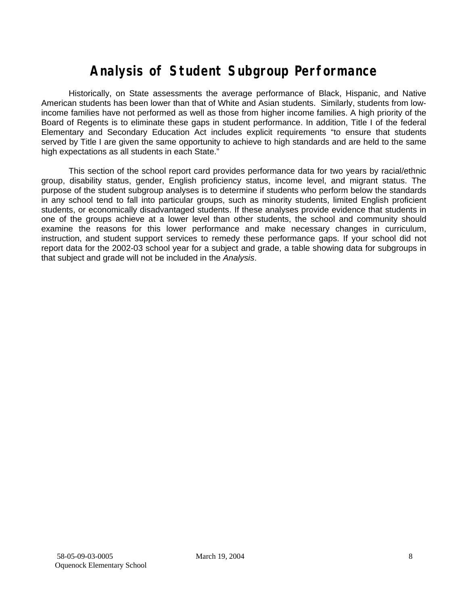# **Analysis of Student Subgroup Performance**

Historically, on State assessments the average performance of Black, Hispanic, and Native American students has been lower than that of White and Asian students. Similarly, students from lowincome families have not performed as well as those from higher income families. A high priority of the Board of Regents is to eliminate these gaps in student performance. In addition, Title I of the federal Elementary and Secondary Education Act includes explicit requirements "to ensure that students served by Title I are given the same opportunity to achieve to high standards and are held to the same high expectations as all students in each State."

This section of the school report card provides performance data for two years by racial/ethnic group, disability status, gender, English proficiency status, income level, and migrant status. The purpose of the student subgroup analyses is to determine if students who perform below the standards in any school tend to fall into particular groups, such as minority students, limited English proficient students, or economically disadvantaged students. If these analyses provide evidence that students in one of the groups achieve at a lower level than other students, the school and community should examine the reasons for this lower performance and make necessary changes in curriculum, instruction, and student support services to remedy these performance gaps. If your school did not report data for the 2002-03 school year for a subject and grade, a table showing data for subgroups in that subject and grade will not be included in the *Analysis*.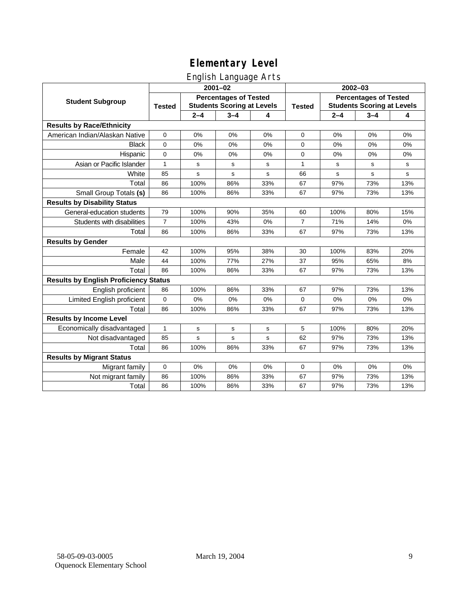### English Language Arts

|                                              | ◡<br>$2001 - 02$                                                                   |         |             |               |                                                                   | $2002 - 03$ |         |     |  |
|----------------------------------------------|------------------------------------------------------------------------------------|---------|-------------|---------------|-------------------------------------------------------------------|-------------|---------|-----|--|
| <b>Student Subgroup</b>                      | <b>Percentages of Tested</b><br><b>Students Scoring at Levels</b><br><b>Tested</b> |         |             | <b>Tested</b> | <b>Percentages of Tested</b><br><b>Students Scoring at Levels</b> |             |         |     |  |
|                                              |                                                                                    | $2 - 4$ | $3 - 4$     | 4             |                                                                   | $2 - 4$     | $3 - 4$ | 4   |  |
| <b>Results by Race/Ethnicity</b>             |                                                                                    |         |             |               |                                                                   |             |         |     |  |
| American Indian/Alaskan Native               | 0                                                                                  | 0%      | 0%          | 0%            | $\mathbf 0$                                                       | 0%          | 0%      | 0%  |  |
| <b>Black</b>                                 | 0                                                                                  | 0%      | 0%          | 0%            | $\mathbf 0$                                                       | 0%          | 0%      | 0%  |  |
| Hispanic                                     | $\Omega$                                                                           | 0%      | 0%          | 0%            | $\mathbf 0$                                                       | 0%          | 0%      | 0%  |  |
| Asian or Pacific Islander                    | 1                                                                                  | s       | s           | s             | 1                                                                 | s           | s       | s   |  |
| White                                        | 85                                                                                 | s       | s           | s             | 66                                                                | s           | s       | s   |  |
| Total                                        | 86                                                                                 | 100%    | 86%         | 33%           | 67                                                                | 97%         | 73%     | 13% |  |
| Small Group Totals (s)                       | 86                                                                                 | 100%    | 86%         | 33%           | 67                                                                | 97%         | 73%     | 13% |  |
| <b>Results by Disability Status</b>          |                                                                                    |         |             |               |                                                                   |             |         |     |  |
| General-education students                   | 79                                                                                 | 100%    | 90%         | 35%           | 60                                                                | 100%        | 80%     | 15% |  |
| Students with disabilities                   | $\overline{7}$                                                                     | 100%    | 43%         | 0%            | $\overline{7}$                                                    | 71%         | 14%     | 0%  |  |
| Total                                        | 86                                                                                 | 100%    | 86%         | 33%           | 67                                                                | 97%         | 73%     | 13% |  |
| <b>Results by Gender</b>                     |                                                                                    |         |             |               |                                                                   |             |         |     |  |
| Female                                       | 42                                                                                 | 100%    | 95%         | 38%           | 30                                                                | 100%        | 83%     | 20% |  |
| Male                                         | 44                                                                                 | 100%    | 77%         | 27%           | 37                                                                | 95%         | 65%     | 8%  |  |
| Total                                        | 86                                                                                 | 100%    | 86%         | 33%           | 67                                                                | 97%         | 73%     | 13% |  |
| <b>Results by English Proficiency Status</b> |                                                                                    |         |             |               |                                                                   |             |         |     |  |
| English proficient                           | 86                                                                                 | 100%    | 86%         | 33%           | 67                                                                | 97%         | 73%     | 13% |  |
| Limited English proficient                   | 0                                                                                  | 0%      | 0%          | 0%            | $\mathbf 0$                                                       | 0%          | 0%      | 0%  |  |
| Total                                        | 86                                                                                 | 100%    | 86%         | 33%           | 67                                                                | 97%         | 73%     | 13% |  |
| <b>Results by Income Level</b>               |                                                                                    |         |             |               |                                                                   |             |         |     |  |
| Economically disadvantaged                   | 1                                                                                  | s       | s           | s             | 5                                                                 | 100%        | 80%     | 20% |  |
| Not disadvantaged                            | 85                                                                                 | s       | $\mathbf s$ | s             | 62                                                                | 97%         | 73%     | 13% |  |
| Total                                        | 86                                                                                 | 100%    | 86%         | 33%           | 67                                                                | 97%         | 73%     | 13% |  |
| <b>Results by Migrant Status</b>             |                                                                                    |         |             |               |                                                                   |             |         |     |  |
| Migrant family                               | 0                                                                                  | 0%      | 0%          | 0%            | $\mathbf 0$                                                       | 0%          | 0%      | 0%  |  |
| Not migrant family                           | 86                                                                                 | 100%    | 86%         | 33%           | 67                                                                | 97%         | 73%     | 13% |  |
| Total                                        | 86                                                                                 | 100%    | 86%         | 33%           | 67                                                                | 97%         | 73%     | 13% |  |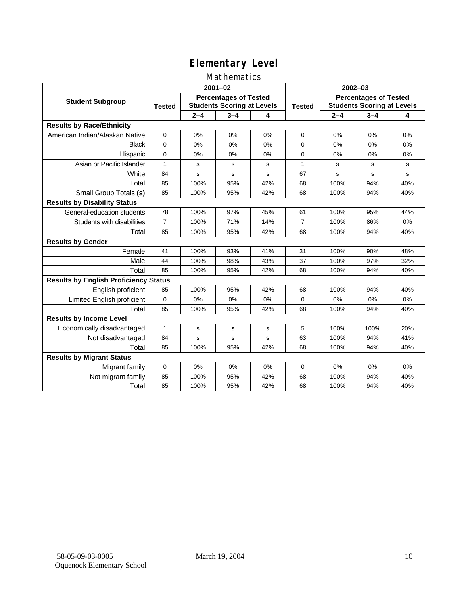### Mathematics

|                                              | $2001 - 02$                                                                        |         |             |               | 2002-03                                                           |         |         |     |
|----------------------------------------------|------------------------------------------------------------------------------------|---------|-------------|---------------|-------------------------------------------------------------------|---------|---------|-----|
| <b>Student Subgroup</b>                      | <b>Percentages of Tested</b><br><b>Students Scoring at Levels</b><br><b>Tested</b> |         |             | <b>Tested</b> | <b>Percentages of Tested</b><br><b>Students Scoring at Levels</b> |         |         |     |
|                                              |                                                                                    | $2 - 4$ | $3 - 4$     | 4             |                                                                   | $2 - 4$ | $3 - 4$ | 4   |
| <b>Results by Race/Ethnicity</b>             |                                                                                    |         |             |               |                                                                   |         |         |     |
| American Indian/Alaskan Native               | 0                                                                                  | 0%      | 0%          | 0%            | $\Omega$                                                          | 0%      | 0%      | 0%  |
| <b>Black</b>                                 | $\Omega$                                                                           | $0\%$   | 0%          | 0%            | $\Omega$                                                          | 0%      | 0%      | 0%  |
| Hispanic                                     | 0                                                                                  | 0%      | 0%          | 0%            | $\mathbf 0$                                                       | 0%      | 0%      | 0%  |
| Asian or Pacific Islander                    | $\mathbf{1}$                                                                       | s       | $\mathbf s$ | s             | 1                                                                 | s       | s       | s   |
| White                                        | 84                                                                                 | s       | $\mathbf S$ | s             | 67                                                                | s       | s       | s   |
| Total                                        | 85                                                                                 | 100%    | 95%         | 42%           | 68                                                                | 100%    | 94%     | 40% |
| Small Group Totals (s)                       | 85                                                                                 | 100%    | 95%         | 42%           | 68                                                                | 100%    | 94%     | 40% |
| <b>Results by Disability Status</b>          |                                                                                    |         |             |               |                                                                   |         |         |     |
| General-education students                   | 78                                                                                 | 100%    | 97%         | 45%           | 61                                                                | 100%    | 95%     | 44% |
| Students with disabilities                   | $\overline{7}$                                                                     | 100%    | 71%         | 14%           | $\overline{7}$                                                    | 100%    | 86%     | 0%  |
| Total                                        | 85                                                                                 | 100%    | 95%         | 42%           | 68                                                                | 100%    | 94%     | 40% |
| <b>Results by Gender</b>                     |                                                                                    |         |             |               |                                                                   |         |         |     |
| Female                                       | 41                                                                                 | 100%    | 93%         | 41%           | 31                                                                | 100%    | 90%     | 48% |
| Male                                         | 44                                                                                 | 100%    | 98%         | 43%           | 37                                                                | 100%    | 97%     | 32% |
| Total                                        | 85                                                                                 | 100%    | 95%         | 42%           | 68                                                                | 100%    | 94%     | 40% |
| <b>Results by English Proficiency Status</b> |                                                                                    |         |             |               |                                                                   |         |         |     |
| English proficient                           | 85                                                                                 | 100%    | 95%         | 42%           | 68                                                                | 100%    | 94%     | 40% |
| <b>Limited English proficient</b>            | 0                                                                                  | 0%      | 0%          | 0%            | $\mathbf 0$                                                       | 0%      | 0%      | 0%  |
| Total                                        | 85                                                                                 | 100%    | 95%         | 42%           | 68                                                                | 100%    | 94%     | 40% |
| <b>Results by Income Level</b>               |                                                                                    |         |             |               |                                                                   |         |         |     |
| Economically disadvantaged                   | 1                                                                                  | s       | s           | s             | 5                                                                 | 100%    | 100%    | 20% |
| Not disadvantaged                            | 84                                                                                 | s       | s           | s             | 63                                                                | 100%    | 94%     | 41% |
| Total                                        | 85                                                                                 | 100%    | 95%         | 42%           | 68                                                                | 100%    | 94%     | 40% |
| <b>Results by Migrant Status</b>             |                                                                                    |         |             |               |                                                                   |         |         |     |
| Migrant family                               | 0                                                                                  | 0%      | 0%          | 0%            | $\Omega$                                                          | 0%      | $0\%$   | 0%  |
| Not migrant family                           | 85                                                                                 | 100%    | 95%         | 42%           | 68                                                                | 100%    | 94%     | 40% |
| Total                                        | 85                                                                                 | 100%    | 95%         | 42%           | 68                                                                | 100%    | 94%     | 40% |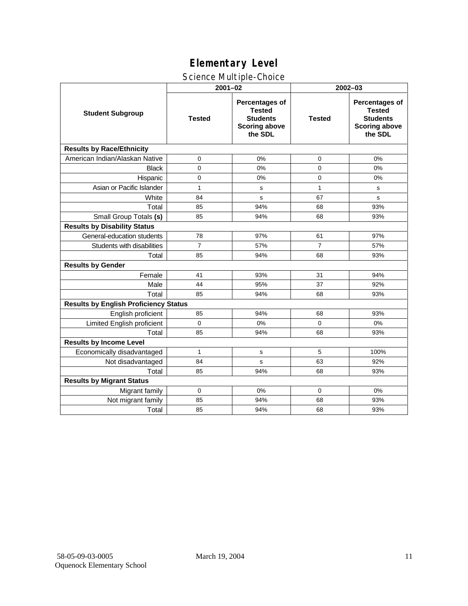### Science Multiple-Choice

|                                              | $2001 - 02$    |                                                                                       | 2002-03        |                                                                                              |  |  |  |
|----------------------------------------------|----------------|---------------------------------------------------------------------------------------|----------------|----------------------------------------------------------------------------------------------|--|--|--|
| <b>Student Subgroup</b>                      | <b>Tested</b>  | Percentages of<br><b>Tested</b><br><b>Students</b><br><b>Scoring above</b><br>the SDL | <b>Tested</b>  | <b>Percentages of</b><br><b>Tested</b><br><b>Students</b><br><b>Scoring above</b><br>the SDL |  |  |  |
| <b>Results by Race/Ethnicity</b>             |                |                                                                                       |                |                                                                                              |  |  |  |
| American Indian/Alaskan Native               | 0              | 0%                                                                                    | 0              | 0%                                                                                           |  |  |  |
| <b>Black</b>                                 | $\mathbf 0$    | 0%                                                                                    | 0              | 0%                                                                                           |  |  |  |
| Hispanic                                     | $\mathbf 0$    | 0%                                                                                    | $\mathbf 0$    | 0%                                                                                           |  |  |  |
| Asian or Pacific Islander                    | $\mathbf{1}$   | s                                                                                     | $\mathbf{1}$   | s                                                                                            |  |  |  |
| White                                        | 84             | s                                                                                     | 67             | s                                                                                            |  |  |  |
| Total                                        | 85             | 94%                                                                                   | 68             | 93%                                                                                          |  |  |  |
| Small Group Totals (s)                       | 85             | 94%                                                                                   | 68             | 93%                                                                                          |  |  |  |
| <b>Results by Disability Status</b>          |                |                                                                                       |                |                                                                                              |  |  |  |
| General-education students                   | 78             | 97%                                                                                   | 61             | 97%                                                                                          |  |  |  |
| Students with disabilities                   | $\overline{7}$ | 57%                                                                                   | $\overline{7}$ | 57%                                                                                          |  |  |  |
| Total                                        | 85             | 94%                                                                                   | 68             | 93%                                                                                          |  |  |  |
| <b>Results by Gender</b>                     |                |                                                                                       |                |                                                                                              |  |  |  |
| Female                                       | 41             | 93%                                                                                   | 31             | 94%                                                                                          |  |  |  |
| Male                                         | 44             | 95%                                                                                   | 37             | 92%                                                                                          |  |  |  |
| Total                                        | 85             | 94%                                                                                   | 68             | 93%                                                                                          |  |  |  |
| <b>Results by English Proficiency Status</b> |                |                                                                                       |                |                                                                                              |  |  |  |
| English proficient                           | 85             | 94%                                                                                   | 68             | 93%                                                                                          |  |  |  |
| Limited English proficient                   | $\Omega$       | 0%                                                                                    | $\Omega$       | 0%                                                                                           |  |  |  |
| Total                                        | 85             | 94%                                                                                   | 68             | 93%                                                                                          |  |  |  |
| <b>Results by Income Level</b>               |                |                                                                                       |                |                                                                                              |  |  |  |
| Economically disadvantaged                   | $\mathbf{1}$   | s                                                                                     | 5              | 100%                                                                                         |  |  |  |
| Not disadvantaged                            | 84             | s                                                                                     | 63             | 92%                                                                                          |  |  |  |
| Total                                        | 85             | 94%                                                                                   | 68             | 93%                                                                                          |  |  |  |
| <b>Results by Migrant Status</b>             |                |                                                                                       |                |                                                                                              |  |  |  |
| Migrant family                               | 0              | 0%                                                                                    | 0              | 0%                                                                                           |  |  |  |
| Not migrant family                           | 85             | 94%                                                                                   | 68             | 93%                                                                                          |  |  |  |
| Total                                        | 85             | 94%                                                                                   | 68             | 93%                                                                                          |  |  |  |